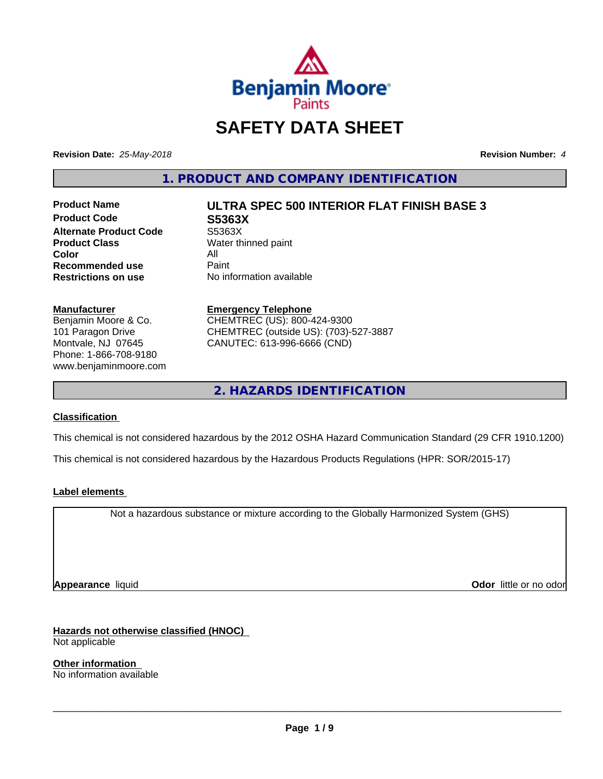

## **SAFETY DATA SHEET**

**Revision Date:** *25-May-2018* **Revision Number:** *4*

**1. PRODUCT AND COMPANY IDENTIFICATION**

**Product Code S5363X Alternate Product Code** S5363X<br> **Product Class** Water th **Color** All<br> **Recommended use** Paint **Recommended use**<br>Restrictions on use

# **Product Name ULTRA SPEC 500 INTERIOR FLAT FINISH BASE 3**

**Water thinned paint No information available** 

#### **Manufacturer**

Benjamin Moore & Co. 101 Paragon Drive Montvale, NJ 07645 Phone: 1-866-708-9180 www.benjaminmoore.com

#### **Emergency Telephone** CHEMTREC (US): 800-424-9300 CHEMTREC (outside US): (703)-527-3887 CANUTEC: 613-996-6666 (CND)

**2. HAZARDS IDENTIFICATION**

#### **Classification**

This chemical is not considered hazardous by the 2012 OSHA Hazard Communication Standard (29 CFR 1910.1200)

This chemical is not considered hazardous by the Hazardous Products Regulations (HPR: SOR/2015-17)

#### **Label elements**

Not a hazardous substance or mixture according to the Globally Harmonized System (GHS)

**Appearance** liquid **Odor in the original of the original of the original of the original of the original of the original of the original of the original of the original of the original of the original of the original of t** 

**Hazards not otherwise classified (HNOC)**

Not applicable

**Other information** No information available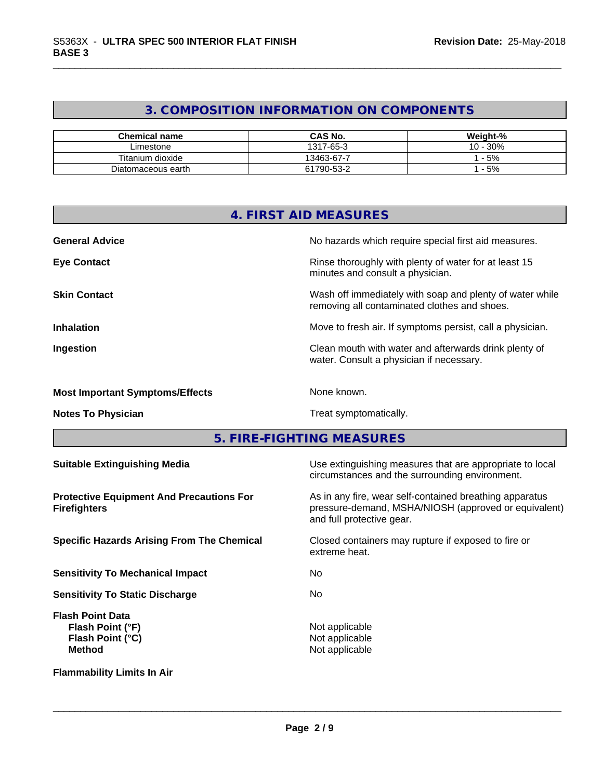#### **3. COMPOSITION INFORMATION ON COMPONENTS**

| <b>Chemical name</b> | CAS No.    | Weight-%      |
|----------------------|------------|---------------|
| ∟imestone            | 1317-65-3  | 30%<br>$10 -$ |
| Titanium dioxide     | 13463-67-7 | $-5%$         |
| Diatomaceous earth   | 61790-53-2 | $-5%$         |

|                                        | 4. FIRST AID MEASURES                                                                                    |
|----------------------------------------|----------------------------------------------------------------------------------------------------------|
| <b>General Advice</b>                  | No hazards which require special first aid measures.                                                     |
| <b>Eye Contact</b>                     | Rinse thoroughly with plenty of water for at least 15<br>minutes and consult a physician.                |
| <b>Skin Contact</b>                    | Wash off immediately with soap and plenty of water while<br>removing all contaminated clothes and shoes. |
| <b>Inhalation</b>                      | Move to fresh air. If symptoms persist, call a physician.                                                |
| Ingestion                              | Clean mouth with water and afterwards drink plenty of<br>water. Consult a physician if necessary.        |
| <b>Most Important Symptoms/Effects</b> | None known.                                                                                              |
| <b>Notes To Physician</b>              | Treat symptomatically.                                                                                   |
|                                        | 5. FIRE-FIGHTING MEASURES                                                                                |
| <b>Suitable Extinguishing Media</b>    | Use extinguishing measures that are appropriate to local                                                 |

| <b>Protective Equipment And Precautions For</b> |  |
|-------------------------------------------------|--|
| <b>Firefighters</b>                             |  |

**Sensitivity To Mechanical Impact** No

**Sensitivity To Static Discharge** No

**Flash Point Data Flash Point (°F)**<br> **Flash Point (°C)**<br> **Flash Point (°C)**<br> **CO Flash Point (°C)**<br>Method

circumstances and the surrounding environment. **Protective Equipment And Precautions For** As in any fire, wear self-contained breathing apparatus pressure-demand, MSHA/NIOSH (approved or equivalent)

**Specific Hazards Arising From The Chemical Closed containers may rupture if exposed to fire or** extreme heat.

**Not applicable** 

 $\overline{\phantom{a}}$  ,  $\overline{\phantom{a}}$  ,  $\overline{\phantom{a}}$  ,  $\overline{\phantom{a}}$  ,  $\overline{\phantom{a}}$  ,  $\overline{\phantom{a}}$  ,  $\overline{\phantom{a}}$  ,  $\overline{\phantom{a}}$  ,  $\overline{\phantom{a}}$  ,  $\overline{\phantom{a}}$  ,  $\overline{\phantom{a}}$  ,  $\overline{\phantom{a}}$  ,  $\overline{\phantom{a}}$  ,  $\overline{\phantom{a}}$  ,  $\overline{\phantom{a}}$  ,  $\overline{\phantom{a}}$ 

and full protective gear.

**Flammability Limits In Air**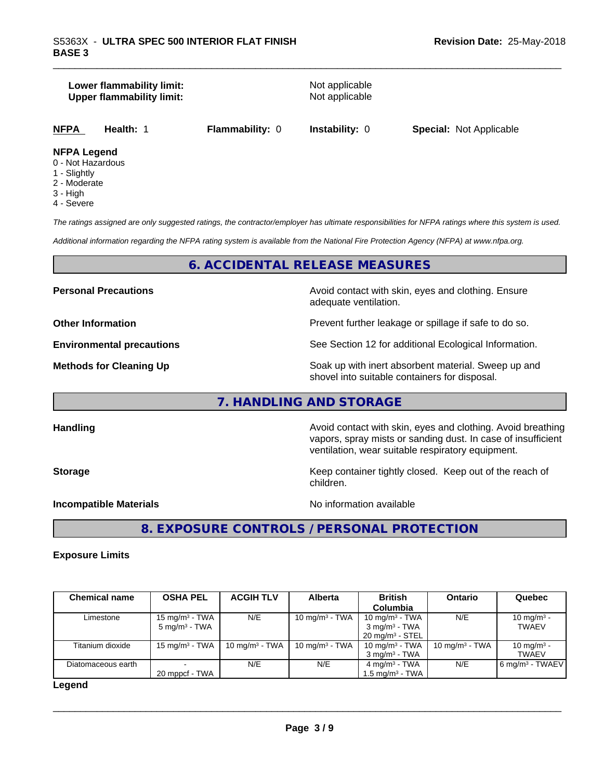#### **Lower flammability limit:**<br> **Upper flammability limit:**<br>
Upper flammability limit:<br>
Not applicable **Upper flammability limit:**

**NFPA Health:** 1 **Flammability:** 0 **Instability:** 0 **Special:** Not Applicable

#### **NFPA Legend**

- 0 Not Hazardous
- 1 Slightly
- 2 Moderate
- 3 High
- 4 Severe

*The ratings assigned are only suggested ratings, the contractor/employer has ultimate responsibilities for NFPA ratings where this system is used.*

*Additional information regarding the NFPA rating system is available from the National Fire Protection Agency (NFPA) at www.nfpa.org.*

#### **6. ACCIDENTAL RELEASE MEASURES**

**Personal Precautions Precautions** Avoid contact with skin, eyes and clothing. Ensure adequate ventilation.

**Other Information Discription Prevent further leakage or spillage if safe to do so.** 

**Environmental precautions** See Section 12 for additional Ecological Information.

**Methods for Cleaning Up Example 20 All 20 All 20 All 20 Soak** up with inert absorbent material. Sweep up and shovel into suitable containers for disposal.

vapors, spray mists or sanding dust. In case of insufficient

ventilation, wear suitable respiratory equipment.

### **7. HANDLING AND STORAGE**

**Handling Handling Avoid contact with skin, eyes and clothing. Avoid breathing** 

**Storage Keep container tightly closed. Keep out of the reach of Keep** container tightly closed. Keep out of the reach of

**Incompatible Materials** Noinformation available

 $\overline{\phantom{a}}$  ,  $\overline{\phantom{a}}$  ,  $\overline{\phantom{a}}$  ,  $\overline{\phantom{a}}$  ,  $\overline{\phantom{a}}$  ,  $\overline{\phantom{a}}$  ,  $\overline{\phantom{a}}$  ,  $\overline{\phantom{a}}$  ,  $\overline{\phantom{a}}$  ,  $\overline{\phantom{a}}$  ,  $\overline{\phantom{a}}$  ,  $\overline{\phantom{a}}$  ,  $\overline{\phantom{a}}$  ,  $\overline{\phantom{a}}$  ,  $\overline{\phantom{a}}$  ,  $\overline{\phantom{a}}$ 

**8. EXPOSURE CONTROLS / PERSONAL PROTECTION**

children.

#### **Exposure Limits**

| <b>Chemical name</b> | <b>OSHA PEL</b>           | <b>ACGIH TLV</b>  | Alberta                    | <b>British</b>             | Ontario           | Quebec                        |
|----------------------|---------------------------|-------------------|----------------------------|----------------------------|-------------------|-------------------------------|
|                      |                           |                   |                            | Columbia                   |                   |                               |
| Limestone            | $15 \text{ mg/m}^3$ - TWA | N/E               | 10 mg/m <sup>3</sup> - TWA | 10 mg/m $3$ - TWA          | N/E               | 10 mg/m <sup>3</sup> -        |
|                      | $5 \text{ ma/m}^3$ - TWA  |                   |                            | $3 \text{ ma/m}^3$ - TWA   |                   | <b>TWAEV</b>                  |
|                      |                           |                   |                            | $20 \text{ ma/m}^3$ - STEL |                   |                               |
| Titanium dioxide     | 15 mg/m $3$ - TWA         | 10 mg/m $3$ - TWA | 10 mg/m $3$ - TWA          | 10 mg/m $3$ - TWA          | 10 mg/m $3$ - TWA | 10 mg/m <sup>3</sup> -        |
|                      |                           |                   |                            | $3 \text{ ma/m}^3$ - TWA   |                   | <b>TWAEV</b>                  |
| Diatomaceous earth   |                           | N/E               | N/E                        | 4 mg/m $3$ - TWA           | N/E               | $6$ mg/m <sup>3</sup> - TWAEV |
|                      | 20 mppcf - TWA            |                   |                            | 1.5 mg/m $^3$ - TWA        |                   |                               |

#### **Legend**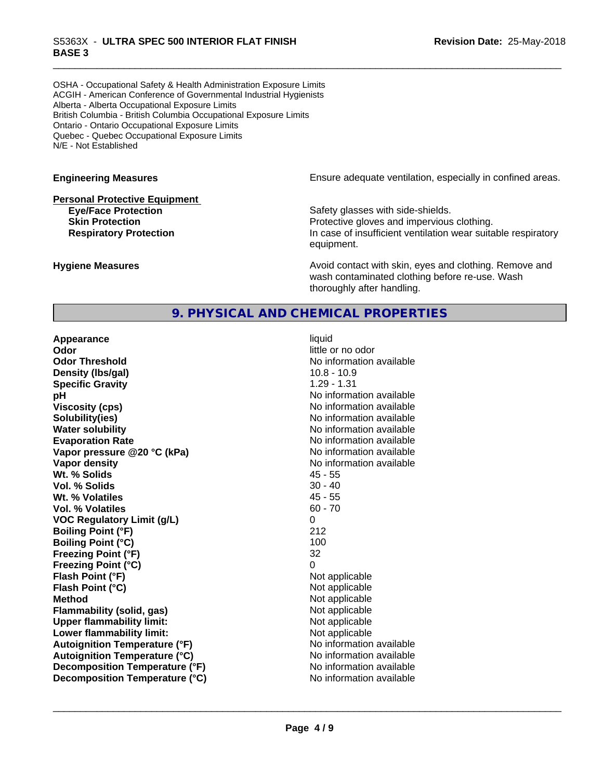OSHA - Occupational Safety & Health Administration Exposure Limits ACGIH - American Conference of Governmental Industrial Hygienists Alberta - Alberta Occupational Exposure Limits British Columbia - British Columbia Occupational Exposure Limits Ontario - Ontario Occupational Exposure Limits Quebec - Quebec Occupational Exposure Limits N/E - Not Established

#### **Personal Protective Equipment**

**Engineering Measures Ensure** Ensure adequate ventilation, especially in confined areas.

**Eye/Face Protection** Safety glasses with side-shields. **Skin Protection Protection Protective gloves and impervious clothing. Respiratory Protection In case of insufficient ventilation wear suitable respiratory** equipment.

**Hygiene Measures Avoid contact with skin, eyes and clothing. Remove and Avoid contact with skin, eyes and clothing. Remove and Avoid contact with skin, eyes and clothing. Remove and** wash contaminated clothing before re-use. Wash thoroughly after handling.

#### **9. PHYSICAL AND CHEMICAL PROPERTIES**

**Appearance** liquid **Odor** little or no odor **Odor Threshold**<br> **Density (Ibs/gal)**<br> **Density (Ibs/gal)**<br> **No information available**<br>
10.8 - 10.9 **Density (lbs/gal) Specific Gravity** 1.29 - 1.31 **pH** No information available **Viscosity (cps)** No information available **Solubility(ies)** No information available **Water solubility Water solubility Water solubility Water solubility Water solubility Water solution Evaporation Rate No information available No information available Vapor pressure @20 °C (kPa)** No information available **Vapor density Vapor density No information available Wt. % Solids** 45 - 55 **Vol. % Solids** 30 - 40 **Wt. % Volatiles** 45 - 55 **Vol. % Volatiles VOC Regulatory Limit (g/L)** 0 **Boiling Point (°F) Boiling Point (°C)** 100 **Freezing Point (°F)** 32 **Freezing Point (°C)** 0 **Flash Point (°F)** Not applicable **Flash Point (°C)** Not applicable **Method** Not applicable **Flammability (solid, gas)**<br> **Commability limit:**<br>
Upper flammability limit:<br>
Not applicable **Upper flammability limit:**<br> **Lower flammability limit:** Not applicable Not applicable **Lower flammability limit: Autoignition Temperature (°F)** No information available **Autoignition Temperature (°C)**<br> **Decomposition Temperature (°F)** Moinformation available **Decomposition Temperature (°F) Decomposition Temperature (°C)** No information available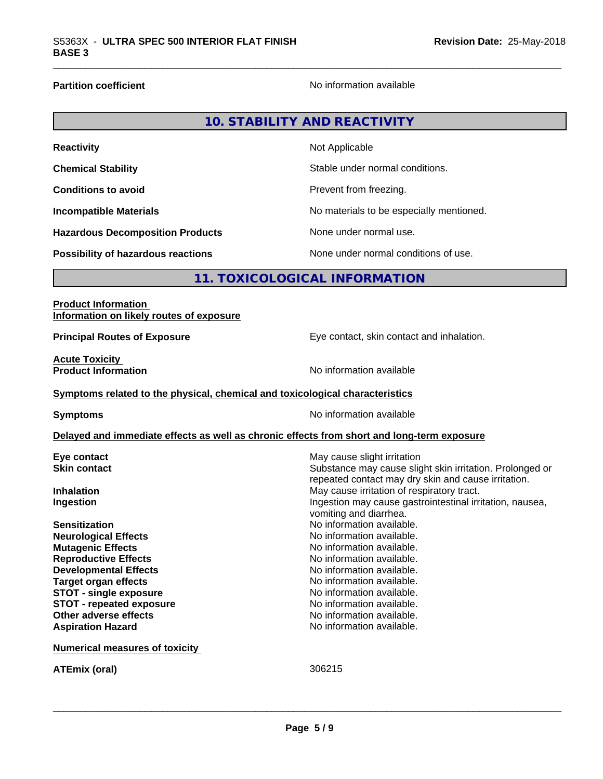г

**Partition coefficient Contract Contract Contract Contract Contract Contract Contract Contract Contract Contract Contract Contract Contract Contract Contract Contract Contract Contract Contract Contract Contract Contract** 

|                                         | <b>10. STABILITY AND REACTIVITY</b>      |
|-----------------------------------------|------------------------------------------|
| <b>Reactivity</b>                       | Not Applicable                           |
| <b>Chemical Stability</b>               | Stable under normal conditions.          |
| <b>Conditions to avoid</b>              | Prevent from freezing.                   |
| <b>Incompatible Materials</b>           | No materials to be especially mentioned. |
| <b>Hazardous Decomposition Products</b> | None under normal use.                   |
| Possibility of hazardous reactions      | None under normal conditions of use.     |

### **11. TOXICOLOGICAL INFORMATION**

| <b>Product Information</b>               |  |
|------------------------------------------|--|
| Information on likely routes of exposure |  |

**Principal Routes of Exposure** Eye contact, skin contact and inhalation.

**Acute Toxicity<br>Product Information** 

**No information available** 

#### **Symptoms** related to the physical, chemical and toxicological characteristics

**Symptoms** No information available

#### **Delayed and immediate effects as well as chronic effects from short and long-term exposure**

| Eye contact<br><b>Skin contact</b>    | May cause slight irritation<br>Substance may cause slight skin irritation. Prolonged or |
|---------------------------------------|-----------------------------------------------------------------------------------------|
|                                       | repeated contact may dry skin and cause irritation.                                     |
| <b>Inhalation</b>                     | May cause irritation of respiratory tract.                                              |
| Ingestion                             | Ingestion may cause gastrointestinal irritation, nausea,                                |
|                                       | vomiting and diarrhea.                                                                  |
| <b>Sensitization</b>                  | No information available.                                                               |
| <b>Neurological Effects</b>           | No information available.                                                               |
| <b>Mutagenic Effects</b>              | No information available.                                                               |
| <b>Reproductive Effects</b>           | No information available.                                                               |
| <b>Developmental Effects</b>          | No information available.                                                               |
| Target organ effects                  | No information available.                                                               |
| <b>STOT - single exposure</b>         | No information available.                                                               |
| <b>STOT - repeated exposure</b>       | No information available.                                                               |
| Other adverse effects                 | No information available.                                                               |
| <b>Aspiration Hazard</b>              | No information available.                                                               |
| <b>Numerical measures of toxicity</b> |                                                                                         |
| <b>ATEmix (oral)</b>                  | 306215                                                                                  |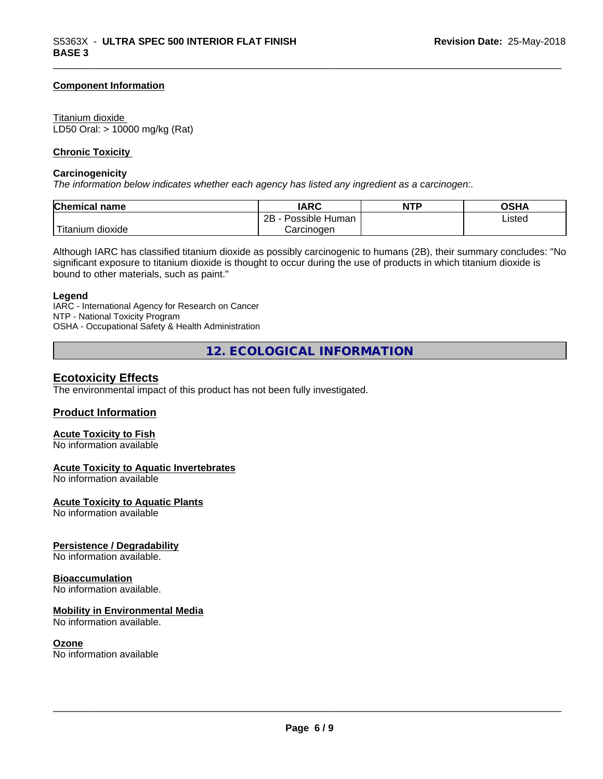#### **Component Information**

#### Titanium dioxide

LD50 Oral: > 10000 mg/kg (Rat)

#### **Chronic Toxicity**

#### **Carcinogenicity**

*The information below indicateswhether each agency has listed any ingredient as a carcinogen:.*

| Chemical<br>∣ name     | <b>IARC</b>                    | <b>NTP</b> | OSHA   |
|------------------------|--------------------------------|------------|--------|
|                        | . .<br>2B<br>Possible<br>Human |            | Listed |
| n dioxide<br>l itanıum | Carcinoɑen                     |            |        |

Although IARC has classified titanium dioxide as possibly carcinogenic to humans (2B), their summary concludes: "No significant exposure to titanium dioxide is thought to occur during the use of products in which titanium dioxide is bound to other materials, such as paint."

#### **Legend**

IARC - International Agency for Research on Cancer NTP - National Toxicity Program OSHA - Occupational Safety & Health Administration

**12. ECOLOGICAL INFORMATION**

#### **Ecotoxicity Effects**

The environmental impact of this product has not been fully investigated.

#### **Product Information**

#### **Acute Toxicity to Fish**

No information available

#### **Acute Toxicity to Aquatic Invertebrates**

No information available

#### **Acute Toxicity to Aquatic Plants**

No information available

#### **Persistence / Degradability**

No information available.

#### **Bioaccumulation**

No information available.

#### **Mobility in Environmental Media**

No information available.

#### **Ozone**

No information available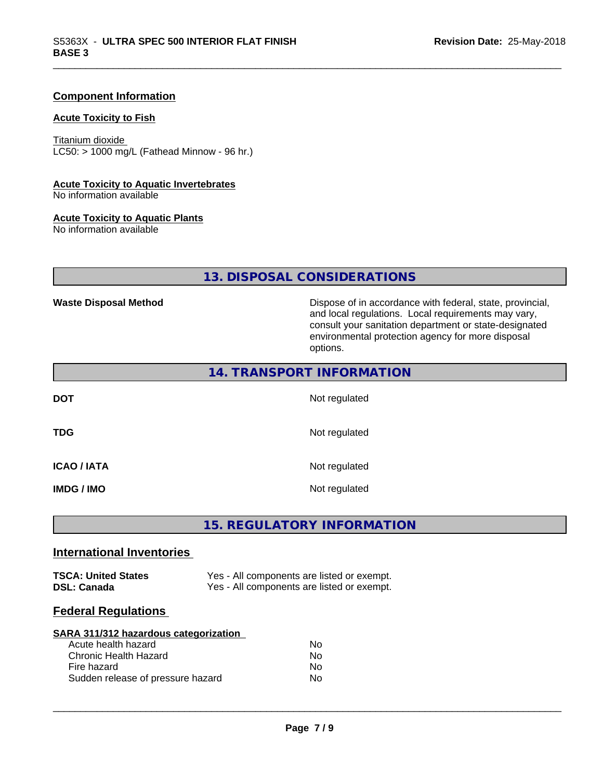#### **Component Information**

#### **Acute Toxicity to Fish**

Titanium dioxide  $LC50:$  > 1000 mg/L (Fathead Minnow - 96 hr.)

#### **Acute Toxicity to Aquatic Invertebrates**

No information available

#### **Acute Toxicity to Aquatic Plants**

No information available

### **13. DISPOSAL CONSIDERATIONS**

Waste Disposal Method **Dispose of in accordance with federal, state, provincial,** and local regulations. Local requirements may vary, consult your sanitation department or state-designated environmental protection agency for more disposal options.

|             | 14. TRANSPORT INFORMATION |
|-------------|---------------------------|
| <b>DOT</b>  | Not regulated             |
| <b>TDG</b>  | Not regulated             |
| ICAO / IATA | Not regulated             |
| IMDG / IMO  | Not regulated             |

### **15. REGULATORY INFORMATION**

#### **International Inventories**

| <b>TSCA: United States</b> | Yes - All components are listed or exempt. |
|----------------------------|--------------------------------------------|
| <b>DSL: Canada</b>         | Yes - All components are listed or exempt. |

#### **Federal Regulations**

#### **SARA 311/312 hazardous categorization** Acute health hezerd

| AGULT HUQILI HALAI U              | IVU |
|-----------------------------------|-----|
| Chronic Health Hazard             | No. |
| Fire hazard                       | Nο  |
| Sudden release of pressure hazard | Nο  |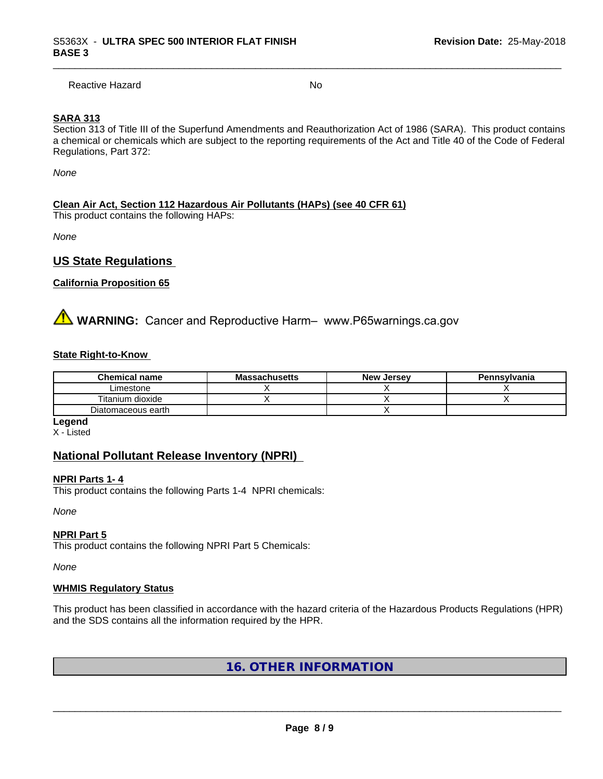Reactive Hazard No. No. 2014

#### **SARA 313**

Section 313 of Title III of the Superfund Amendments and Reauthorization Act of 1986 (SARA). This product contains a chemical or chemicals which are subject to the reporting requirements of the Act and Title 40 of the Code of Federal Regulations, Part 372:

*None*

#### **Clean Air Act,Section 112 Hazardous Air Pollutants (HAPs) (see 40 CFR 61)**

This product contains the following HAPs:

*None*

#### **US State Regulations**

#### **California Proposition 65**

**AVIMARNING:** Cancer and Reproductive Harm– www.P65warnings.ca.gov

#### **State Right-to-Know**

| <b>Chemical name</b> | <b>Massachusetts</b> | <b>New Jersey</b> | Pennsylvania |
|----------------------|----------------------|-------------------|--------------|
| Limestone            |                      |                   |              |
| Titanium dioxide     |                      |                   |              |
| Diatomaceous earth   |                      |                   |              |

**Legend** X - Listed

#### **National Pollutant Release Inventory (NPRI)**

#### **NPRI Parts 1- 4**

This product contains the following Parts 1-4 NPRI chemicals:

*None*

#### **NPRI Part 5**

This product contains the following NPRI Part 5 Chemicals:

*None*

#### **WHMIS Regulatory Status**

This product has been classified in accordance with the hazard criteria of the Hazardous Products Regulations (HPR) and the SDS contains all the information required by the HPR.

**16. OTHER INFORMATION**